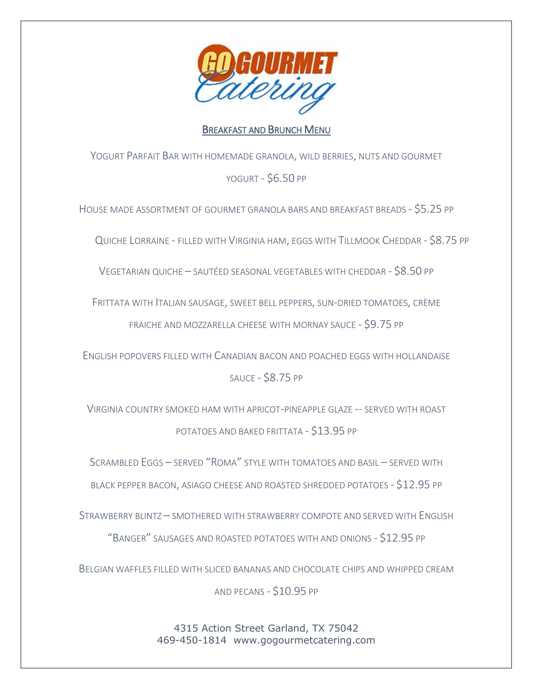

## BREAKFAST AND BRUNCH MENU

YOGURT PARFAIT BAR WITH HOMEMADE GRANOLA, WILD BERRIES, NUTS AND GOURMET YOGURT - \$6.50 PP

HOUSE MADE ASSORTMENT OF GOURMET GRANOLA BARS AND BREAKFAST BREADS - \$5.25 PP

QUICHE LORRAINE - FILLED WITH VIRGINIA HAM, EGGS WITH TILLMOOK CHEDDAR - \$8.75 PP

VEGETARIAN QUICHE – SAUTÉED SEASONAL VEGETABLES WITH CHEDDAR - \$8.50 PP

FRITTATA WITH ITALIAN SAUSAGE, SWEET BELL PEPPERS, SUN-DRIED TOMATOES, CRÈME FRAICHE AND MOZZARELLA CHEESE WITH MORNAY SAUCE - \$9.75 PP

ENGLISH POPOVERS FILLED WITH CANADIAN BACON AND POACHED EGGS WITH HOLLANDAISE SAUCE - \$8.75 PP

VIRGINIA COUNTRY SMOKED HAM WITH APRICOT-PINEAPPLE GLAZE -- SERVED WITH ROAST POTATOES AND BAKED FRITTATA - \$13.95 PP

SCRAMBLED EGGS – SERVED "ROMA" STYLE WITH TOMATOES AND BASIL – SERVED WITH

BLACK PEPPER BACON, ASIAGO CHEESE AND ROASTED SHREDDED POTATOES - \$12.95 PP

STRAWBERRY BLINTZ – SMOTHERED WITH STRAWBERRY COMPOTE AND SERVED WITH ENGLISH

"BANGER" SAUSAGES AND ROASTED POTATOES WITH AND ONIONS - \$12.95 PP

BELGIAN WAFFLES FILLED WITH SLICED BANANAS AND CHOCOLATE CHIPS AND WHIPPED CREAM

AND PECANS - \$10.95 PP

4315 Action Street Garland, TX 75042 469-450-1814 [www.gogourmetcatering.com](http://www.gogourmetcatering.com/)